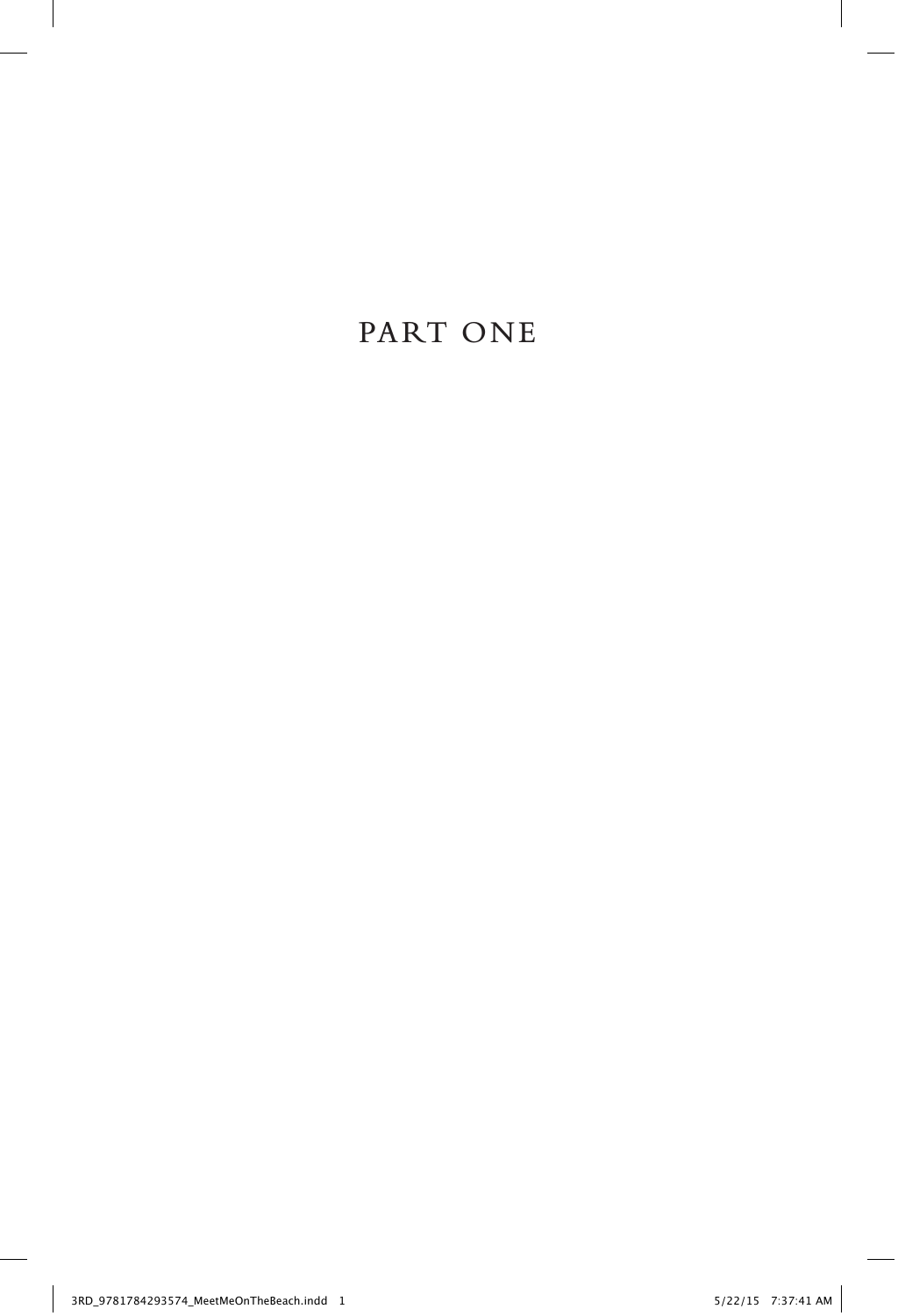# PART ONE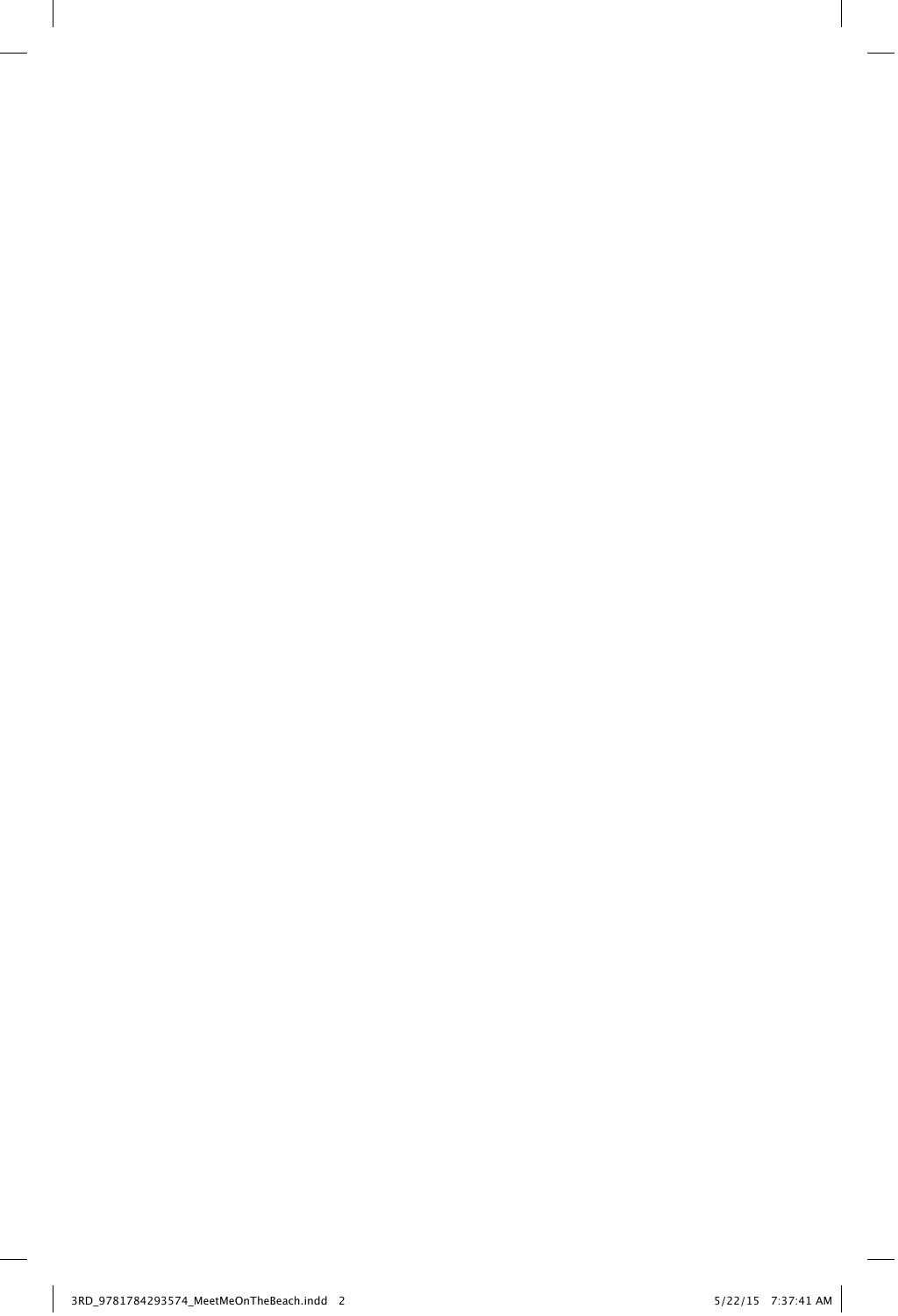$\overline{\phantom{a}}$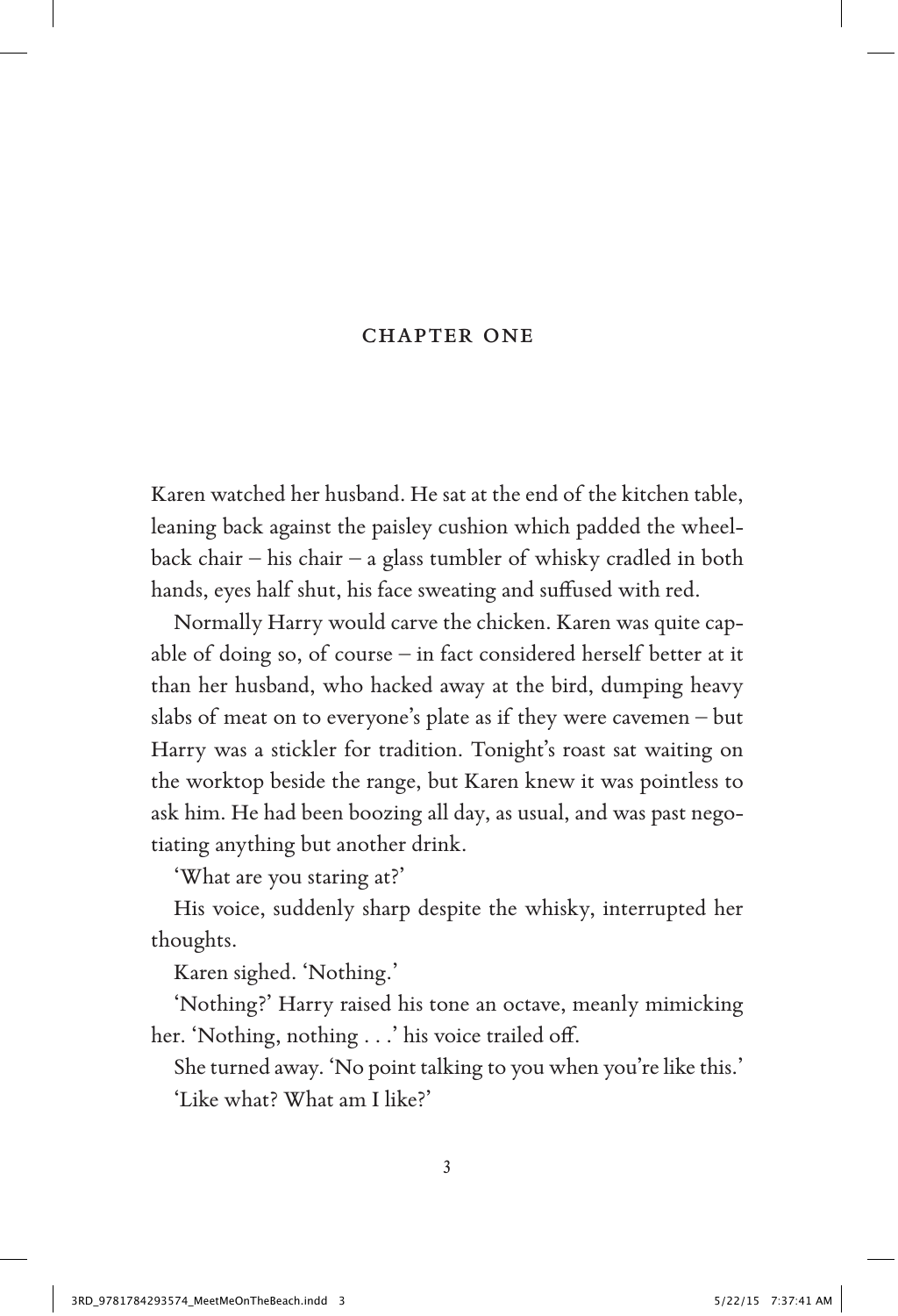# CHAPTER ONE

Karen watched her husband. He sat at the end of the kitchen table, leaning back against the paisley cushion which padded the wheelback chair – his chair – a glass tumbler of whisky cradled in both hands, eyes half shut, his face sweating and suffused with red.

Normally Harry would carve the chicken. Karen was quite capable of doing so, of course – in fact considered herself better at it than her husband, who hacked away at the bird, dumping heavy slabs of meat on to everyone's plate as if they were cavemen – but Harry was a stickler for tradition. Tonight's roast sat waiting on the worktop beside the range, but Karen knew it was pointless to ask him. He had been boozing all day, as usual, and was past negotiating anything but another drink.

'What are you staring at?'

His voice, suddenly sharp despite the whisky, interrupted her thoughts.

Karen sighed. 'Nothing.'

'Nothing?' Harry raised his tone an octave, meanly mimicking her. 'Nothing, nothing . . .' his voice trailed off.

She turned away. 'No point talking to you when you're like this.' 'Like what? What am I like?'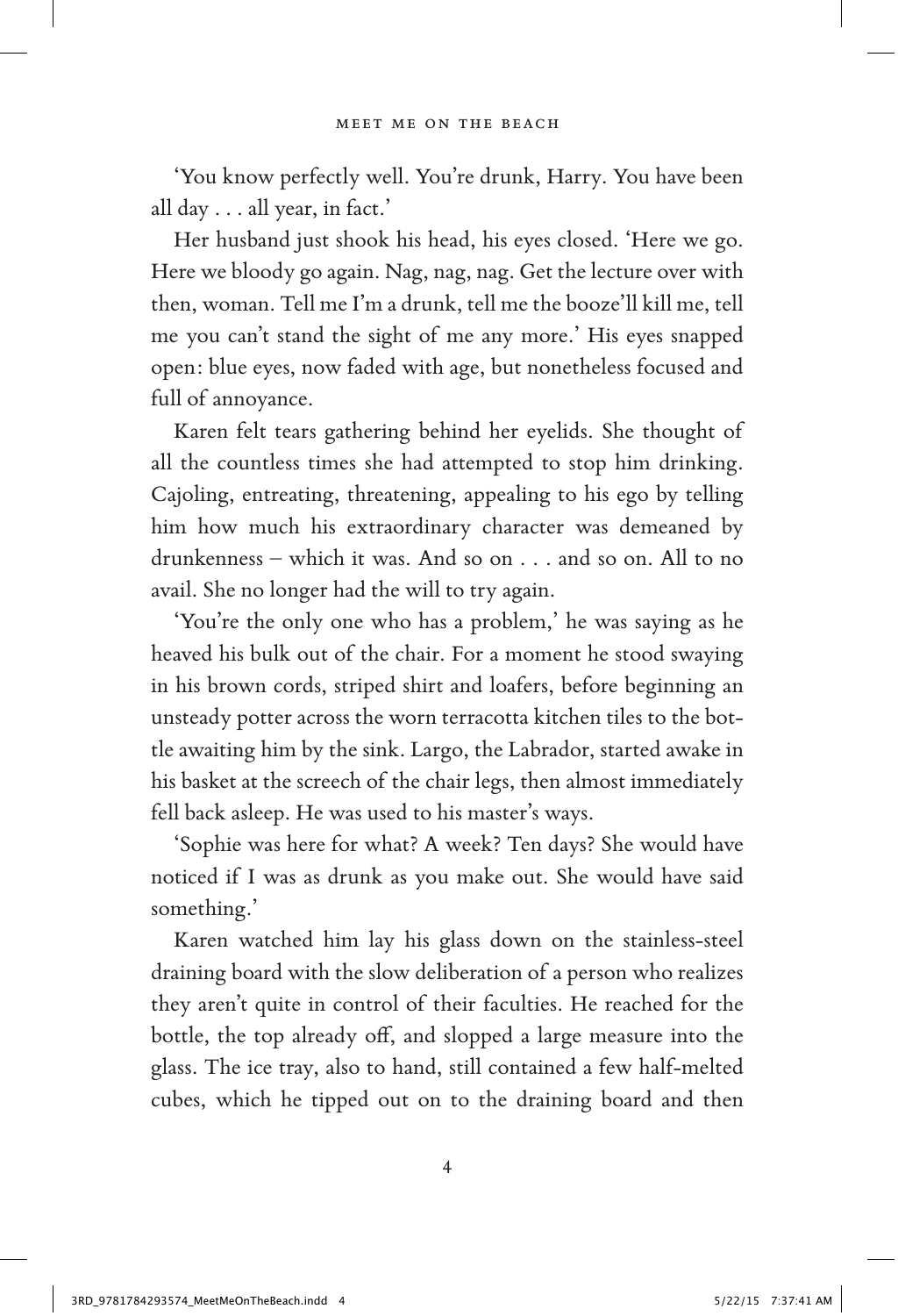'You know perfectly well. You're drunk, Harry. You have been all day . . . all year, in fact.'

Her husband just shook his head, his eyes closed. 'Here we go. Here we bloody go again. Nag, nag, nag. Get the lecture over with then, woman. Tell me I'm a drunk, tell me the booze'll kill me, tell me you can't stand the sight of me any more.' His eyes snapped open: blue eyes, now faded with age, but nonetheless focused and full of annoyance.

Karen felt tears gathering behind her eyelids. She thought of all the countless times she had attempted to stop him drinking. Cajoling, entreating, threatening, appealing to his ego by telling him how much his extraordinary character was demeaned by drunkenness – which it was. And so on . . . and so on. All to no avail. She no longer had the will to try again.

'You're the only one who has a problem,' he was saying as he heaved his bulk out of the chair. For a moment he stood swaying in his brown cords, striped shirt and loafers, before beginning an unsteady potter across the worn terracotta kitchen tiles to the bottle awaiting him by the sink. Largo, the Labrador, started awake in his basket at the screech of the chair legs, then almost immediately fell back asleep. He was used to his master's ways.

'Sophie was here for what? A week? Ten days? She would have noticed if I was as drunk as you make out. She would have said something.'

Karen watched him lay his glass down on the stainless-steel draining board with the slow deliberation of a person who realizes they aren't quite in control of their faculties. He reached for the bottle, the top already off, and slopped a large measure into the glass. The ice tray, also to hand, still contained a few half-melted cubes, which he tipped out on to the draining board and then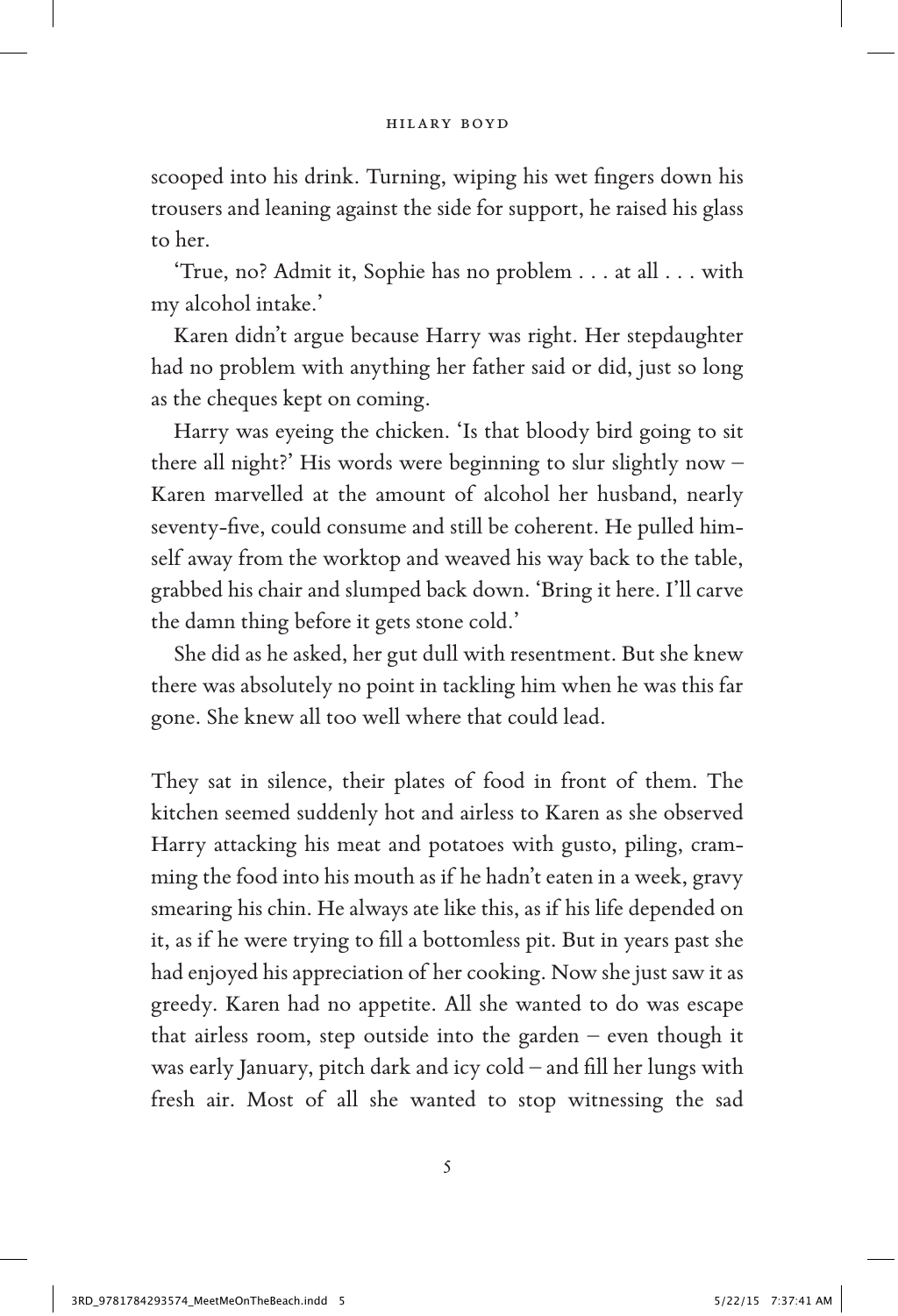scooped into his drink. Turning, wiping his wet fingers down his trousers and leaning against the side for support, he raised his glass to her.

'True, no? Admit it, Sophie has no problem . . . at all . . . with my alcohol intake.'

Karen didn't argue because Harry was right. Her stepdaughter had no problem with anything her father said or did, just so long as the cheques kept on coming.

Harry was eyeing the chicken. 'Is that bloody bird going to sit there all night?' His words were beginning to slur slightly now – Karen marvelled at the amount of alcohol her husband, nearly seventy-five, could consume and still be coherent. He pulled himself away from the worktop and weaved his way back to the table, grabbed his chair and slumped back down. 'Bring it here. I'll carve the damn thing before it gets stone cold.'

She did as he asked, her gut dull with resentment. But she knew there was absolutely no point in tackling him when he was this far gone. She knew all too well where that could lead.

They sat in silence, their plates of food in front of them. The kitchen seemed suddenly hot and airless to Karen as she observed Harry attacking his meat and potatoes with gusto, piling, cramming the food into his mouth as if he hadn't eaten in a week, gravy smearing his chin. He always ate like this, as if his life depended on it, as if he were trying to fill a bottomless pit. But in years past she had enjoyed his appreciation of her cooking. Now she just saw it as greedy. Karen had no appetite. All she wanted to do was escape that airless room, step outside into the garden  $-$  even though it was early January, pitch dark and icy cold – and fill her lungs with fresh air. Most of all she wanted to stop witnessing the sad

5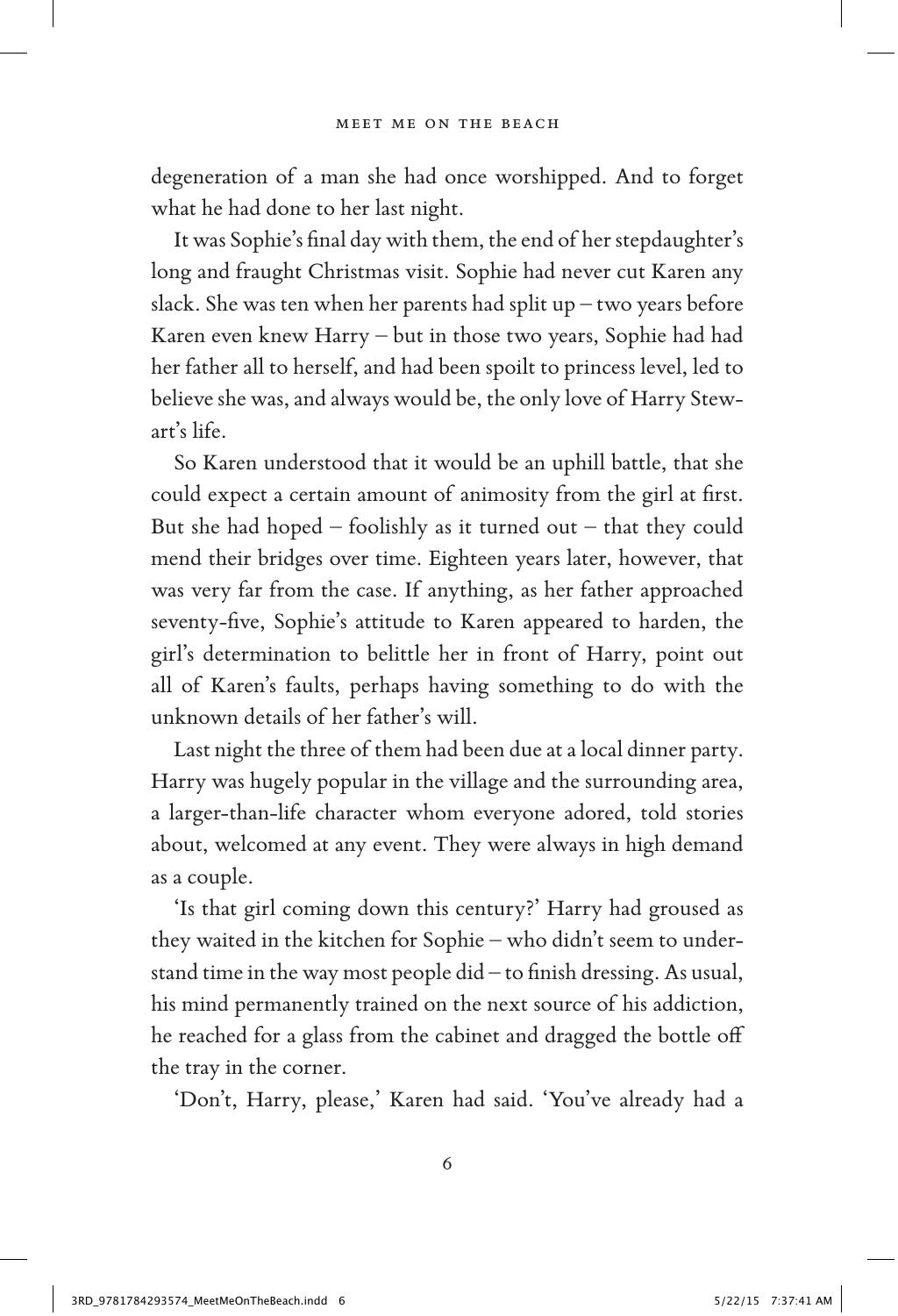degeneration of a man she had once worshipped. And to forget what he had done to her last night.

It was Sophie's final day with them, the end of her stepdaughter's long and fraught Christmas visit. Sophie had never cut Karen any slack. She was ten when her parents had split up  $-$  two years before Karen even knew Harry – but in those two years, Sophie had had her father all to herself, and had been spoilt to princess level, led to believe she was, and always would be, the only love of Harry Stewart's life.

So Karen understood that it would be an uphill battle, that she could expect a certain amount of animosity from the girl at first. But she had hoped – foolishly as it turned out – that they could mend their bridges over time. Eighteen years later, however, that was very far from the case. If anything, as her father approached seventy-five, Sophie's attitude to Karen appeared to harden, the girl's determination to belittle her in front of Harry, point out all of Karen's faults, perhaps having something to do with the unknown details of her father's will.

Last night the three of them had been due at a local dinner party. Harry was hugely popular in the village and the surrounding area, a larger-than-life character whom everyone adored, told stories about, welcomed at any event. They were always in high demand as a couple.

'Is that girl coming down this century?' Harry had groused as they waited in the kitchen for Sophie – who didn't seem to understand time in the way most people did – to finish dressing. As usual, his mind permanently trained on the next source of his addiction, he reached for a glass from the cabinet and dragged the bottle off the tray in the corner.

'Don't, Harry, please,' Karen had said. 'You've already had a

6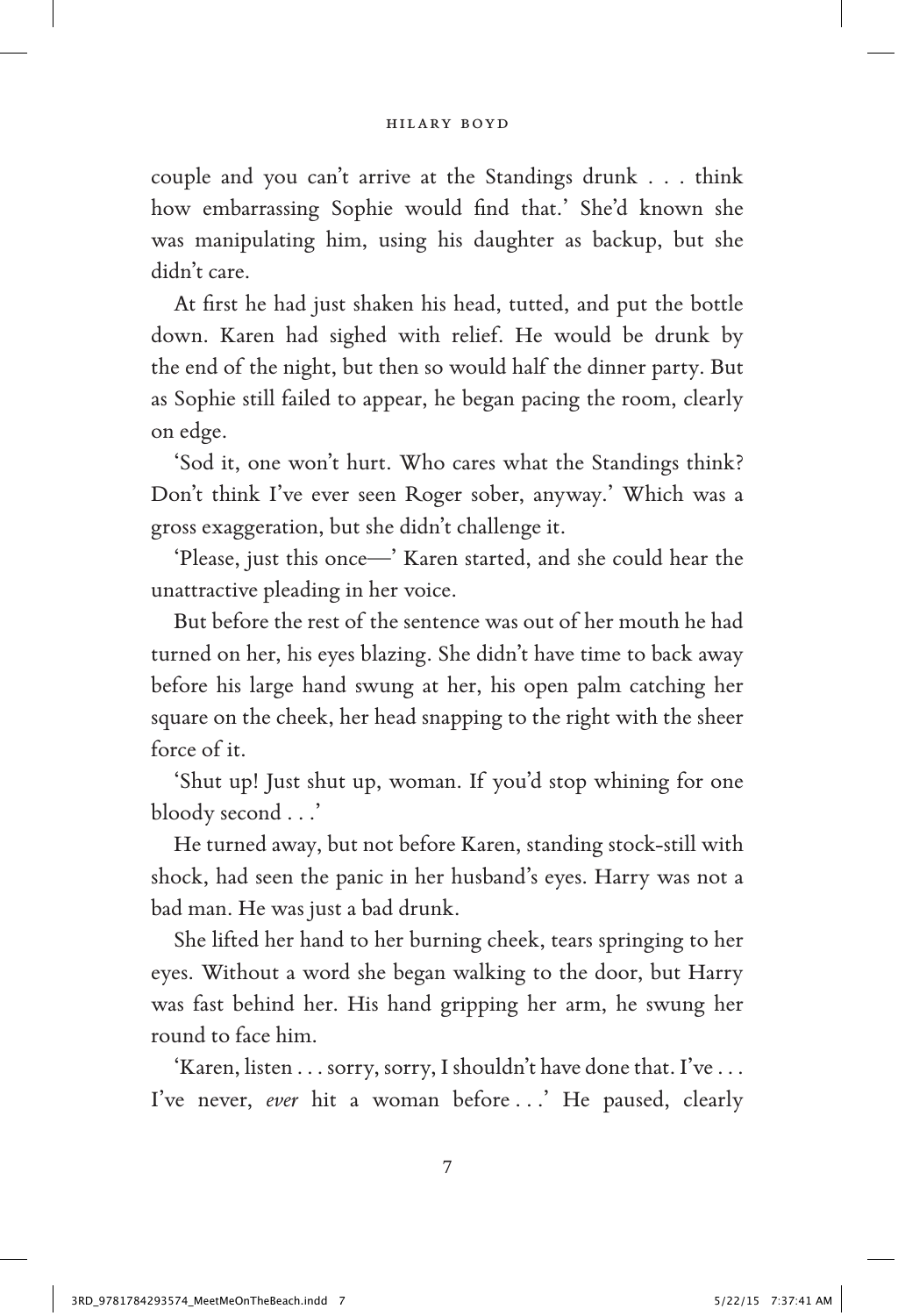couple and you can't arrive at the Standings drunk . . . think how embarrassing Sophie would find that.' She'd known she was manipulating him, using his daughter as backup, but she didn't care.

At first he had just shaken his head, tutted, and put the bottle down. Karen had sighed with relief. He would be drunk by the end of the night, but then so would half the dinner party. But as Sophie still failed to appear, he began pacing the room, clearly on edge.

'Sod it, one won't hurt. Who cares what the Standings think? Don't think I've ever seen Roger sober, anyway.' Which was a gross exaggeration, but she didn't challenge it.

'Please, just this once—' Karen started, and she could hear the unattractive pleading in her voice.

But before the rest of the sentence was out of her mouth he had turned on her, his eyes blazing. She didn't have time to back away before his large hand swung at her, his open palm catching her square on the cheek, her head snapping to the right with the sheer force of it.

'Shut up! Just shut up, woman. If you'd stop whining for one bloody second . . .'

He turned away, but not before Karen, standing stock-still with shock, had seen the panic in her husband's eyes. Harry was not a bad man. He was just a bad drunk.

She lifted her hand to her burning cheek, tears springing to her eyes. Without a word she began walking to the door, but Harry was fast behind her. His hand gripping her arm, he swung her round to face him.

'Karen, listen . . . sorry, sorry, I shouldn't have done that. I've . . . I've never, *ever* hit a woman before . . .' He paused, clearly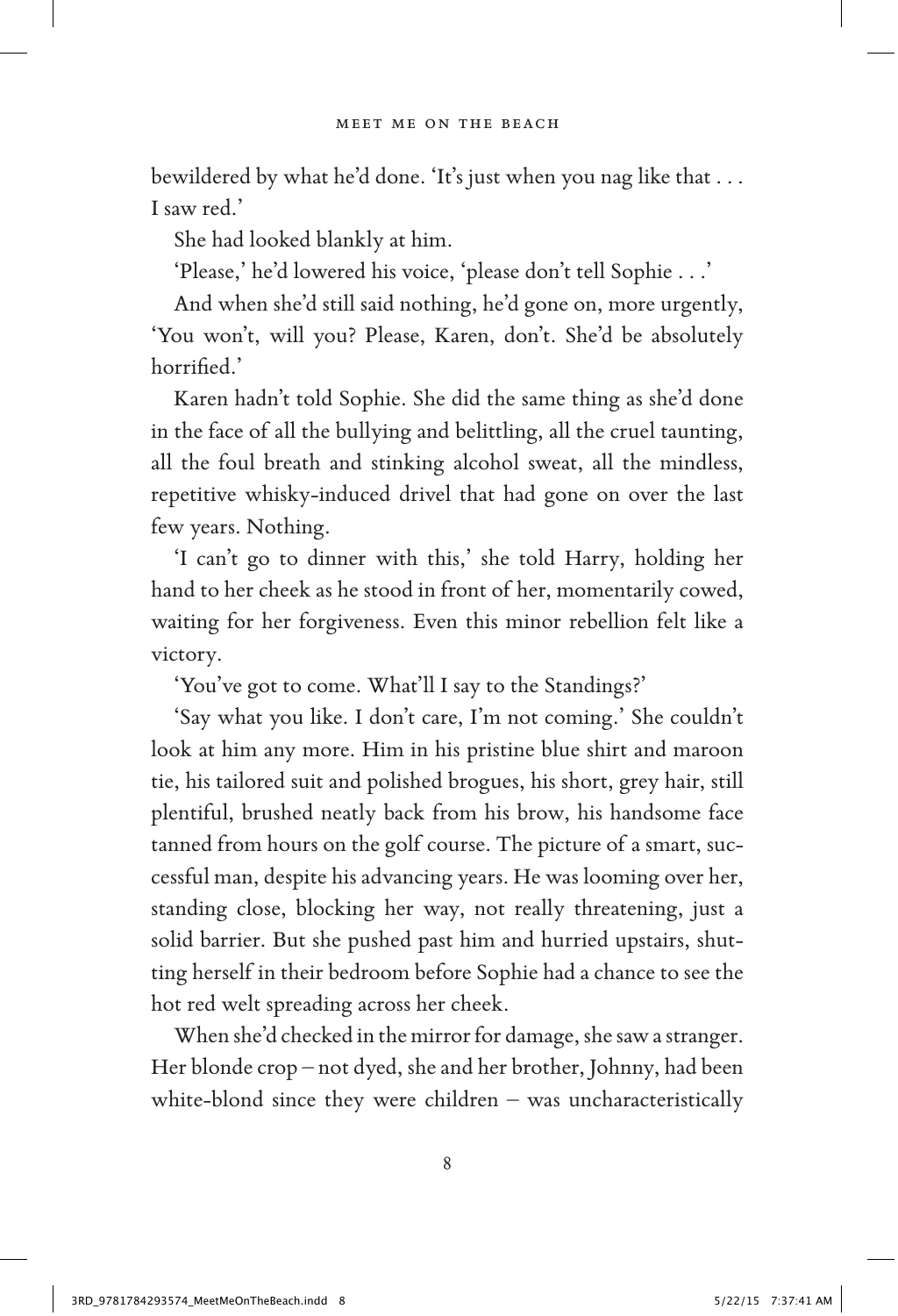bewildered by what he'd done. 'It's just when you nag like that . . . I saw red.'

She had looked blankly at him.

'Please,' he'd lowered his voice, 'please don't tell Sophie . . .'

And when she'd still said nothing, he'd gone on, more urgently, 'You won't, will you? Please, Karen, don't. She'd be absolutely horrified.'

Karen hadn't told Sophie. She did the same thing as she'd done in the face of all the bullying and belittling, all the cruel taunting, all the foul breath and stinking alcohol sweat, all the mindless, repetitive whisky-induced drivel that had gone on over the last few years. Nothing.

'I can't go to dinner with this,' she told Harry, holding her hand to her cheek as he stood in front of her, momentarily cowed, waiting for her forgiveness. Even this minor rebellion felt like a victory.

'You've got to come. What'll I say to the Standings?'

'Say what you like. I don't care, I'm not coming.' She couldn't look at him any more. Him in his pristine blue shirt and maroon tie, his tailored suit and polished brogues, his short, grey hair, still plentiful, brushed neatly back from his brow, his handsome face tanned from hours on the golf course. The picture of a smart, successful man, despite his advancing years. He was looming over her, standing close, blocking her way, not really threatening, just a solid barrier. But she pushed past him and hurried upstairs, shutting herself in their bedroom before Sophie had a chance to see the hot red welt spreading across her cheek.

When she'd checked in the mirror for damage, she saw a stranger. Her blonde crop – not dyed, she and her brother, Johnny, had been white-blond since they were children  $-$  was uncharacteristically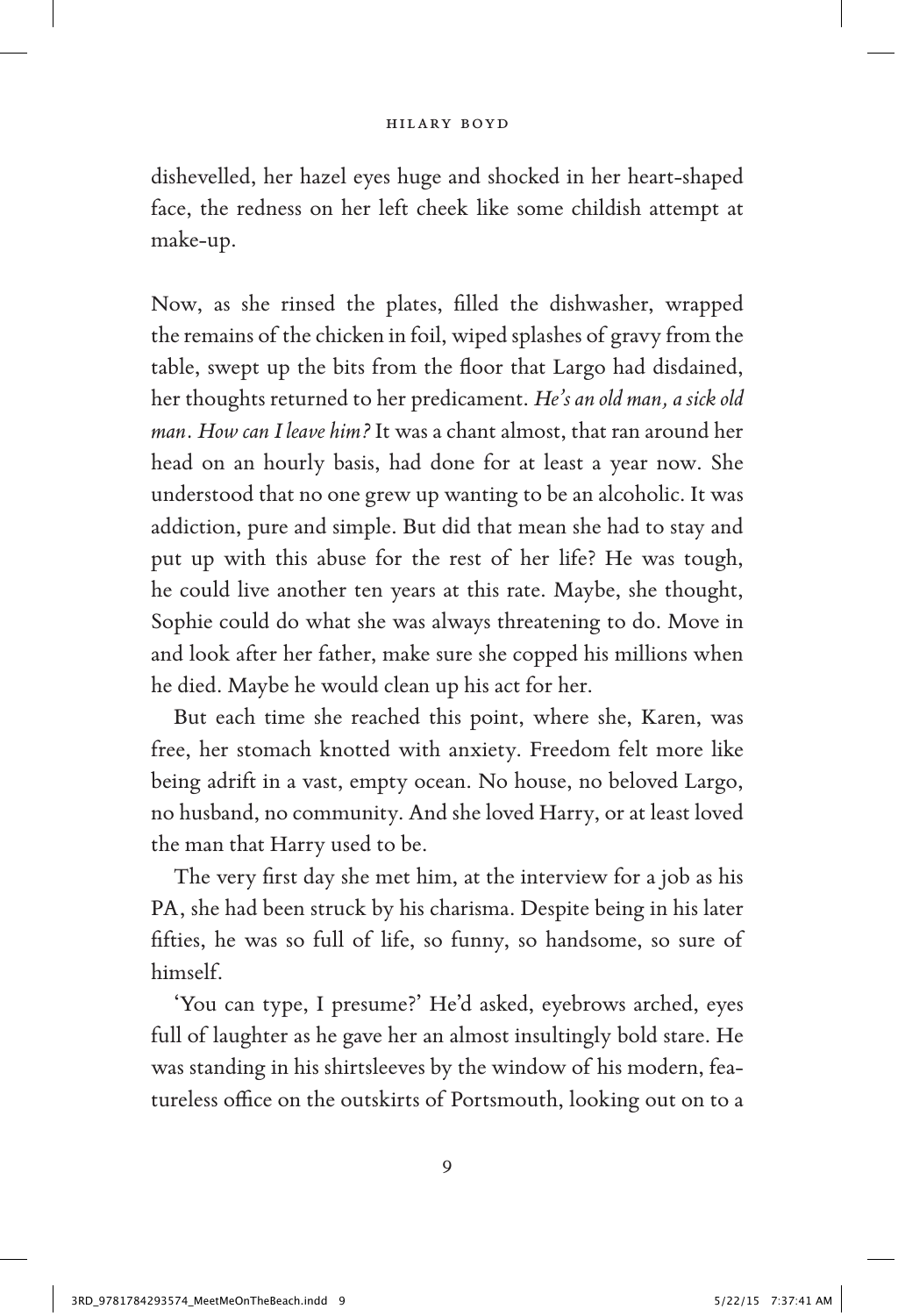dishevelled, her hazel eyes huge and shocked in her heart-shaped face, the redness on her left cheek like some childish attempt at make-up.

Now, as she rinsed the plates, filled the dishwasher, wrapped the remains of the chicken in foil, wiped splashes of gravy from the table, swept up the bits from the floor that Largo had disdained, her thoughts returned to her predicament. *He's an old man, a sick old man. How can I leave him?* It was a chant almost, that ran around her head on an hourly basis, had done for at least a year now. She understood that no one grew up wanting to be an alcoholic. It was addiction, pure and simple. But did that mean she had to stay and put up with this abuse for the rest of her life? He was tough, he could live another ten years at this rate. Maybe, she thought, Sophie could do what she was always threatening to do. Move in and look after her father, make sure she copped his millions when he died. Maybe he would clean up his act for her.

But each time she reached this point, where she, Karen, was free, her stomach knotted with anxiety. Freedom felt more like being adrift in a vast, empty ocean. No house, no beloved Largo, no husband, no community. And she loved Harry, or at least loved the man that Harry used to be.

The very first day she met him, at the interview for a job as his PA, she had been struck by his charisma. Despite being in his later fifties, he was so full of life, so funny, so handsome, so sure of himself.

'You can type, I presume?' He'd asked, eyebrows arched, eyes full of laughter as he gave her an almost insultingly bold stare. He was standing in his shirtsleeves by the window of his modern, featureless office on the outskirts of Portsmouth, looking out on to a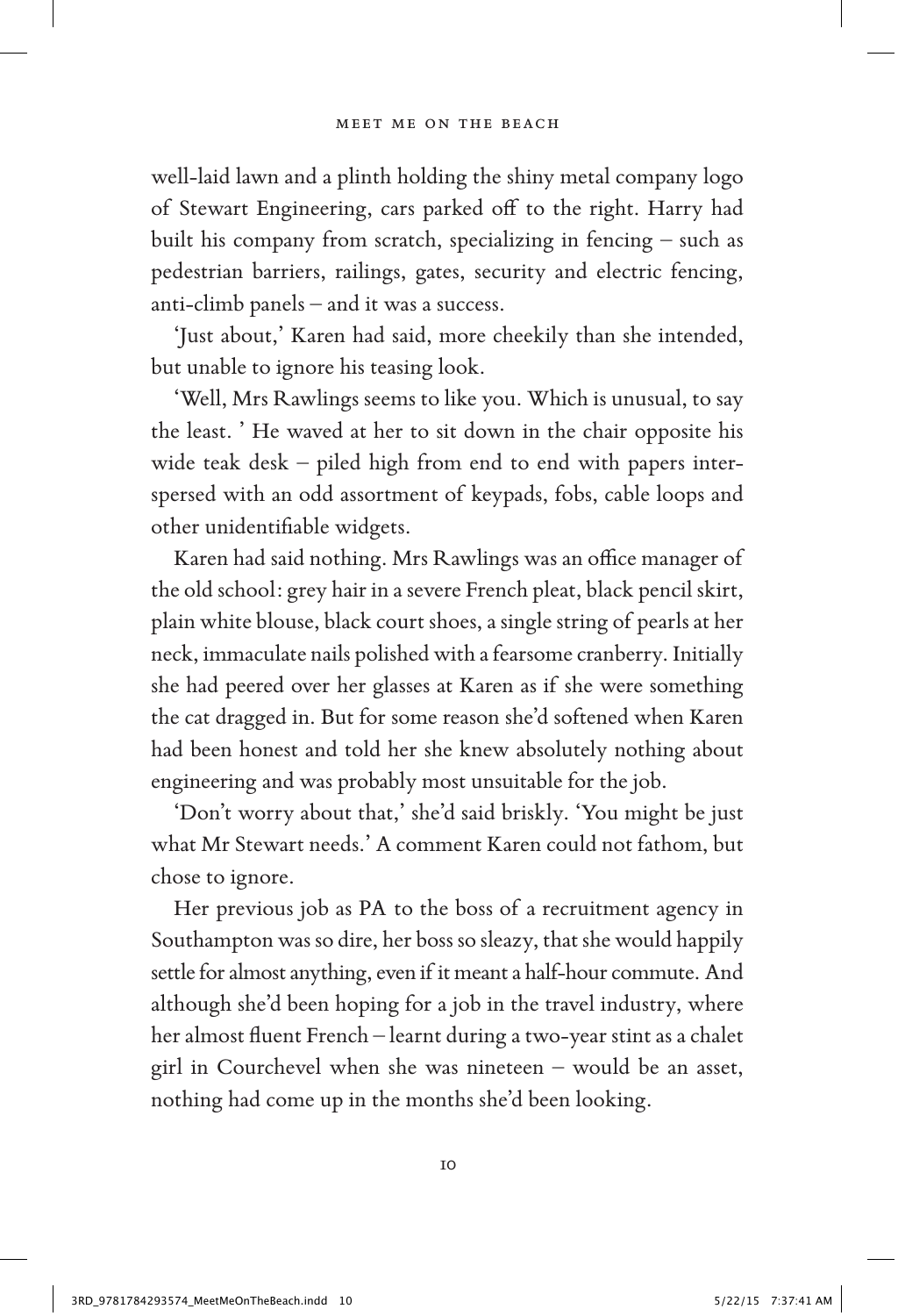well-laid lawn and a plinth holding the shiny metal company logo of Stewart Engineering, cars parked off to the right. Harry had built his company from scratch, specializing in fencing – such as pedestrian barriers, railings, gates, security and electric fencing, anti-climb panels – and it was a success.

'Just about,' Karen had said, more cheekily than she intended, but unable to ignore his teasing look.

'Well, Mrs Rawlings seems to like you. Which is unusual, to say the least. ' He waved at her to sit down in the chair opposite his wide teak desk – piled high from end to end with papers interspersed with an odd assortment of keypads, fobs, cable loops and other unidentifiable widgets.

Karen had said nothing. Mrs Rawlings was an office manager of the old school: grey hair in a severe French pleat, black pencil skirt, plain white blouse, black court shoes, a single string of pearls at her neck, immaculate nails polished with a fearsome cranberry. Initially she had peered over her glasses at Karen as if she were something the cat dragged in. But for some reason she'd softened when Karen had been honest and told her she knew absolutely nothing about engineering and was probably most unsuitable for the job.

'Don't worry about that,' she'd said briskly. 'You might be just what Mr Stewart needs.' A comment Karen could not fathom, but chose to ignore.

Her previous job as PA to the boss of a recruitment agency in Southampton was so dire, her boss so sleazy, that she would happily settle for almost anything, even if it meant a half-hour commute. And although she'd been hoping for a job in the travel industry, where her almost fluent French – learnt during a two-year stint as a chalet girl in Courchevel when she was nineteen – would be an asset, nothing had come up in the months she'd been looking.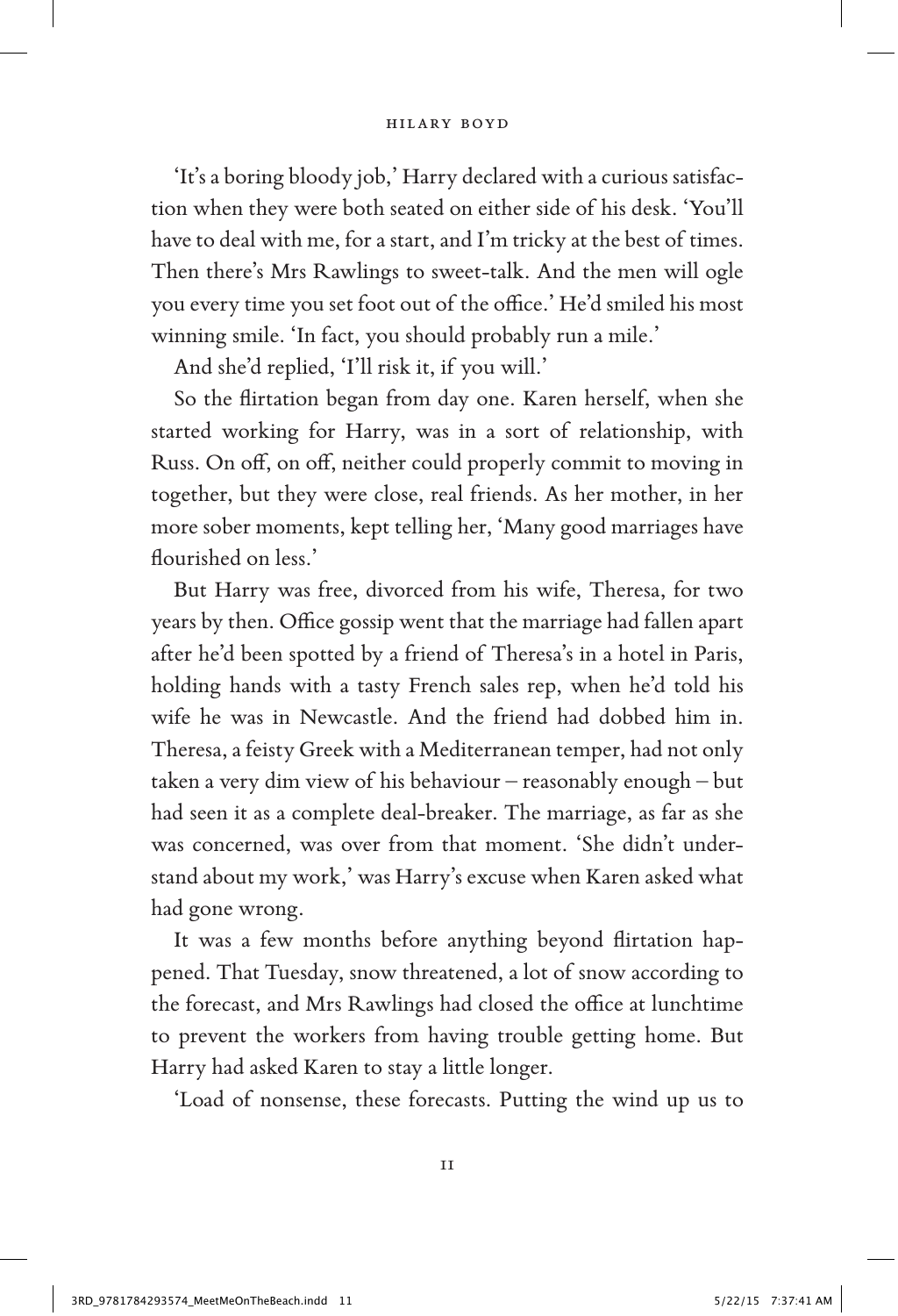'It's a boring bloody job,' Harry declared with a curious satisfaction when they were both seated on either side of his desk. 'You'll have to deal with me, for a start, and I'm tricky at the best of times. Then there's Mrs Rawlings to sweet-talk. And the men will ogle you every time you set foot out of the office.' He'd smiled his most winning smile. 'In fact, you should probably run a mile.'

And she'd replied, 'I'll risk it, if you will.'

So the flirtation began from day one. Karen herself, when she started working for Harry, was in a sort of relationship, with Russ. On off, on off, neither could properly commit to moving in together, but they were close, real friends. As her mother, in her more sober moments, kept telling her, 'Many good marriages have flourished on less.'

But Harry was free, divorced from his wife, Theresa, for two years by then. Office gossip went that the marriage had fallen apart after he'd been spotted by a friend of Theresa's in a hotel in Paris, holding hands with a tasty French sales rep, when he'd told his wife he was in Newcastle. And the friend had dobbed him in. Theresa, a feisty Greek with a Mediterranean temper, had not only taken a very dim view of his behaviour – reasonably enough – but had seen it as a complete deal-breaker. The marriage, as far as she was concerned, was over from that moment. 'She didn't understand about my work,' was Harry's excuse when Karen asked what had gone wrong.

It was a few months before anything beyond flirtation happened. That Tuesday, snow threatened, a lot of snow according to the forecast, and Mrs Rawlings had closed the office at lunchtime to prevent the workers from having trouble getting home. But Harry had asked Karen to stay a little longer.

'Load of nonsense, these forecasts. Putting the wind up us to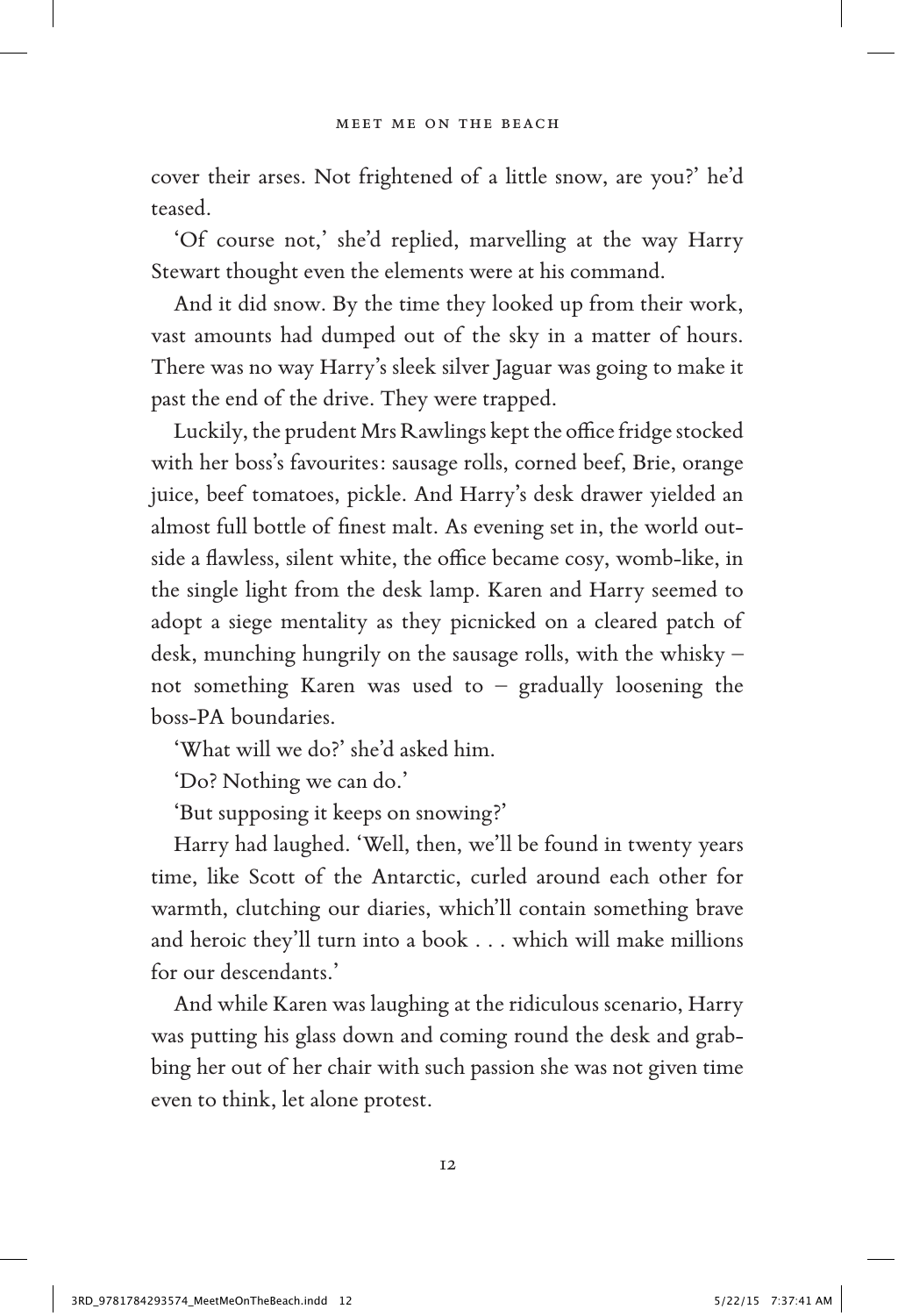cover their arses. Not frightened of a little snow, are you?' he'd teased.

'Of course not,' she'd replied, marvelling at the way Harry Stewart thought even the elements were at his command.

And it did snow. By the time they looked up from their work, vast amounts had dumped out of the sky in a matter of hours. There was no way Harry's sleek silver Jaguar was going to make it past the end of the drive. They were trapped.

Luckily, the prudent Mrs Rawlings kept the office fridge stocked with her boss's favourites: sausage rolls, corned beef, Brie, orange juice, beef tomatoes, pickle. And Harry's desk drawer yielded an almost full bottle of finest malt. As evening set in, the world outside a flawless, silent white, the office became cosy, womb-like, in the single light from the desk lamp. Karen and Harry seemed to adopt a siege mentality as they picnicked on a cleared patch of desk, munching hungrily on the sausage rolls, with the whisky – not something Karen was used to – gradually loosening the boss-PA boundaries.

'What will we do?' she'd asked him.

'Do? Nothing we can do.'

'But supposing it keeps on snowing?'

Harry had laughed. 'Well, then, we'll be found in twenty years time, like Scott of the Antarctic, curled around each other for warmth, clutching our diaries, which'll contain something brave and heroic they'll turn into a book . . . which will make millions for our descendants.'

And while Karen was laughing at the ridiculous scenario, Harry was putting his glass down and coming round the desk and grabbing her out of her chair with such passion she was not given time even to think, let alone protest.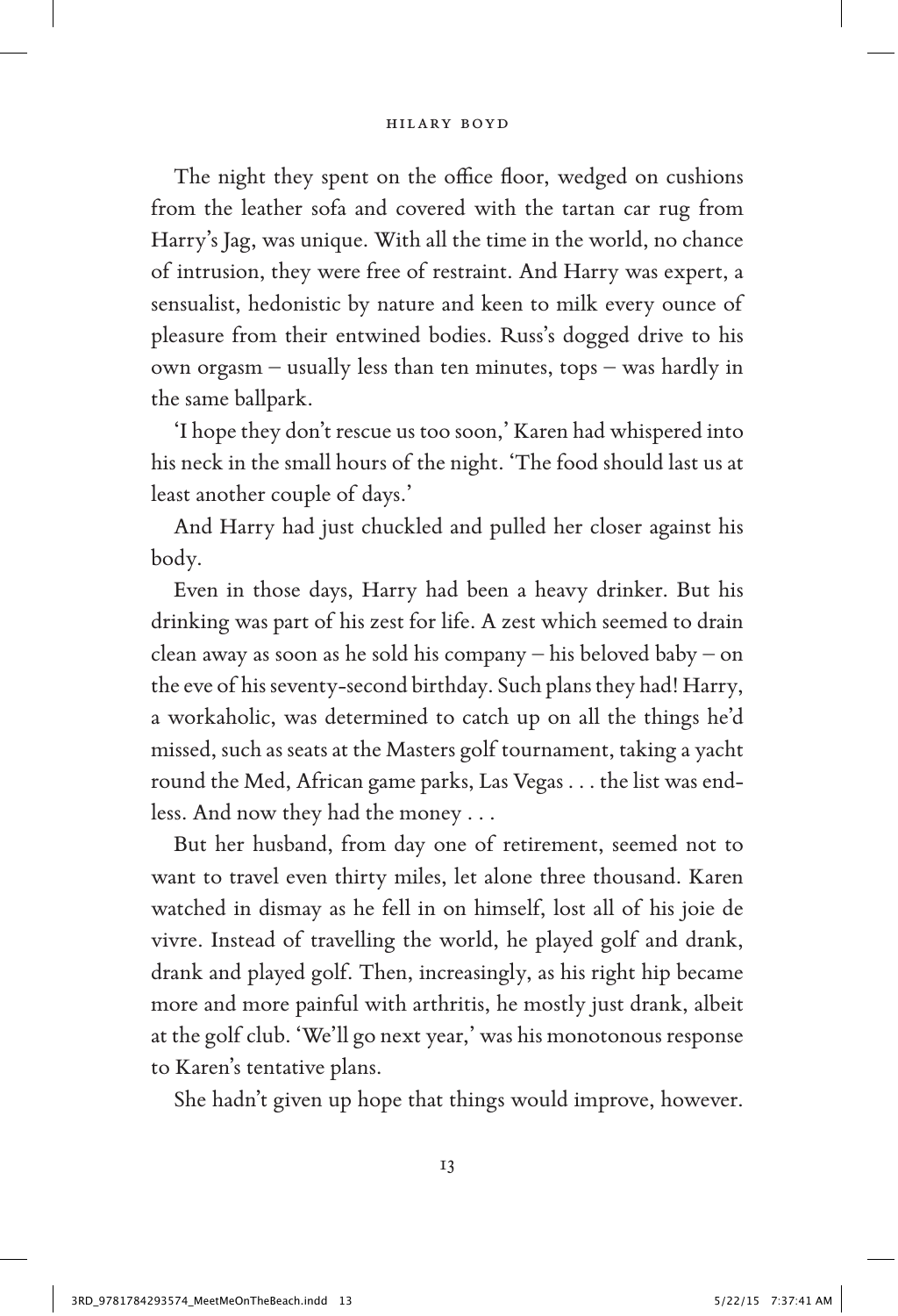The night they spent on the office floor, wedged on cushions from the leather sofa and covered with the tartan car rug from Harry's Jag, was unique. With all the time in the world, no chance of intrusion, they were free of restraint. And Harry was expert, a sensualist, hedonistic by nature and keen to milk every ounce of pleasure from their entwined bodies. Russ's dogged drive to his own orgasm – usually less than ten minutes, tops – was hardly in the same ballpark.

'I hope they don't rescue us too soon,' Karen had whispered into his neck in the small hours of the night. 'The food should last us at least another couple of days.'

And Harry had just chuckled and pulled her closer against his body.

Even in those days, Harry had been a heavy drinker. But his drinking was part of his zest for life. A zest which seemed to drain clean away as soon as he sold his company – his beloved baby – on the eve of his seventy-second birthday. Such plans they had! Harry, a workaholic, was determined to catch up on all the things he'd missed, such as seats at the Masters golf tournament, taking a yacht round the Med, African game parks, Las Vegas . . . the list was endless. And now they had the money . . .

But her husband, from day one of retirement, seemed not to want to travel even thirty miles, let alone three thousand. Karen watched in dismay as he fell in on himself, lost all of his joie de vivre. Instead of travelling the world, he played golf and drank, drank and played golf. Then, increasingly, as his right hip became more and more painful with arthritis, he mostly just drank, albeit at the golf club. 'We'll go next year,' was his monotonous response to Karen's tentative plans.

She hadn't given up hope that things would improve, however.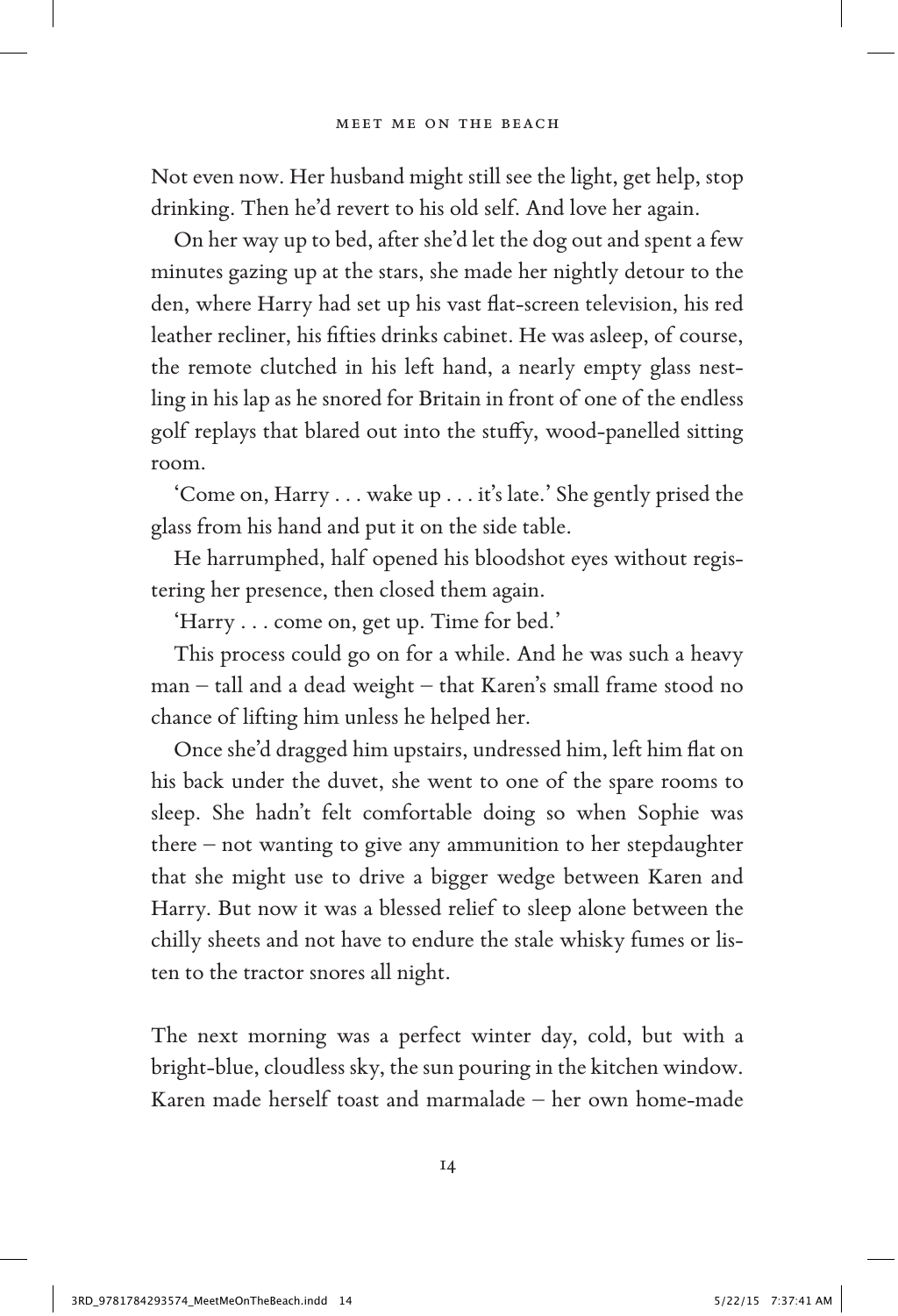Not even now. Her husband might still see the light, get help, stop drinking. Then he'd revert to his old self. And love her again.

On her way up to bed, after she'd let the dog out and spent a few minutes gazing up at the stars, she made her nightly detour to the den, where Harry had set up his vast flat-screen television, his red leather recliner, his fifties drinks cabinet. He was asleep, of course, the remote clutched in his left hand, a nearly empty glass nestling in his lap as he snored for Britain in front of one of the endless golf replays that blared out into the stuffy, wood-panelled sitting room.

'Come on, Harry . . . wake up . . . it's late.' She gently prised the glass from his hand and put it on the side table.

He harrumphed, half opened his bloodshot eyes without registering her presence, then closed them again.

'Harry . . . come on, get up. Time for bed.'

This process could go on for a while. And he was such a heavy man – tall and a dead weight – that Karen's small frame stood no chance of lifting him unless he helped her.

Once she'd dragged him upstairs, undressed him, left him flat on his back under the duvet, she went to one of the spare rooms to sleep. She hadn't felt comfortable doing so when Sophie was there – not wanting to give any ammunition to her stepdaughter that she might use to drive a bigger wedge between Karen and Harry. But now it was a blessed relief to sleep alone between the chilly sheets and not have to endure the stale whisky fumes or listen to the tractor snores all night.

The next morning was a perfect winter day, cold, but with a bright-blue, cloudless sky, the sun pouring in the kitchen window. Karen made herself toast and marmalade – her own home-made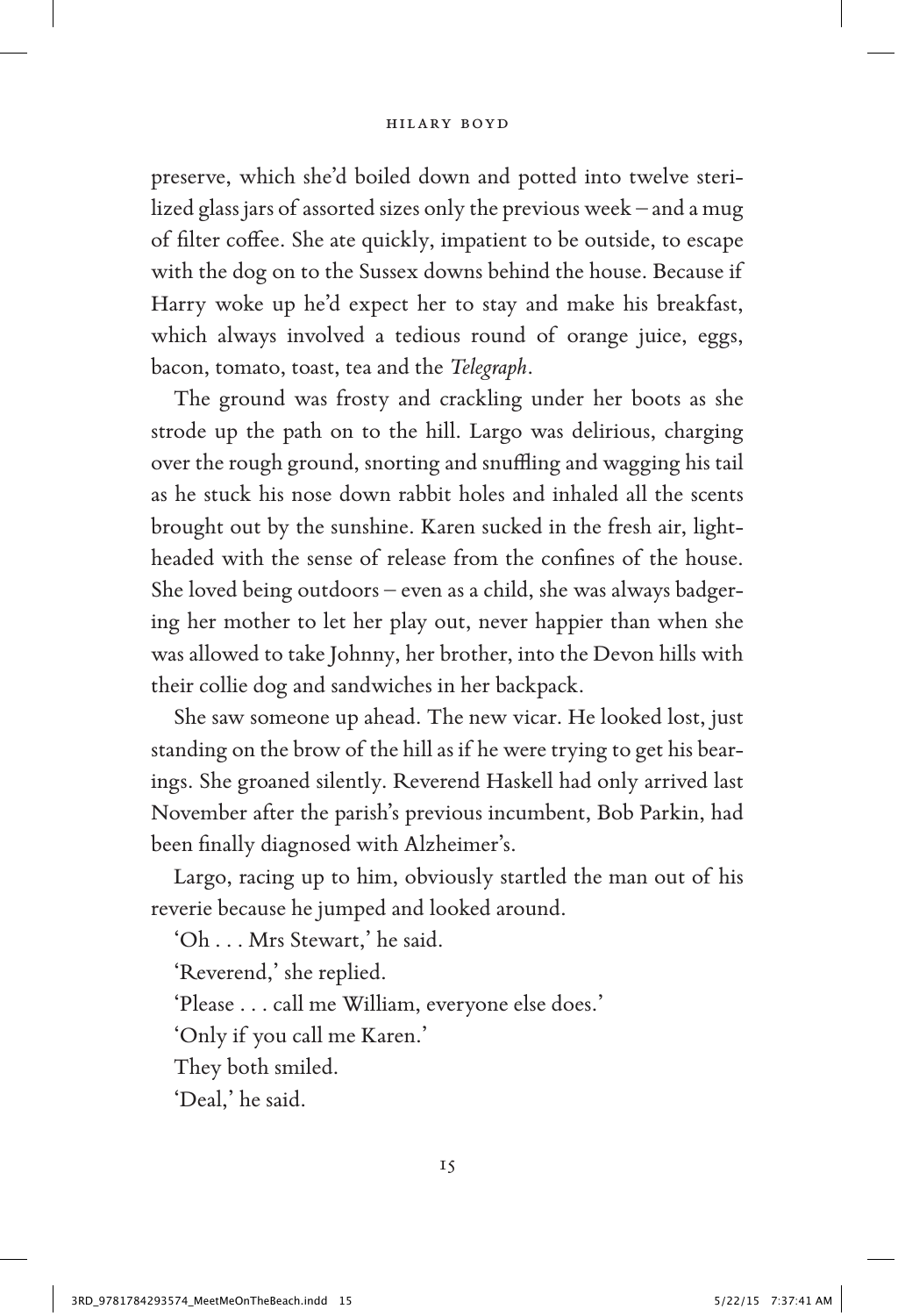preserve, which she'd boiled down and potted into twelve sterilized glass jars of assorted sizes only the previous week – and a mug of filter coffee. She ate quickly, impatient to be outside, to escape with the dog on to the Sussex downs behind the house. Because if Harry woke up he'd expect her to stay and make his breakfast, which always involved a tedious round of orange juice, eggs, bacon, tomato, toast, tea and the *Telegraph*.

The ground was frosty and crackling under her boots as she strode up the path on to the hill. Largo was delirious, charging over the rough ground, snorting and snuffling and wagging his tail as he stuck his nose down rabbit holes and inhaled all the scents brought out by the sunshine. Karen sucked in the fresh air, lightheaded with the sense of release from the confines of the house. She loved being outdoors – even as a child, she was always badgering her mother to let her play out, never happier than when she was allowed to take Johnny, her brother, into the Devon hills with their collie dog and sandwiches in her backpack.

She saw someone up ahead. The new vicar. He looked lost, just standing on the brow of the hill as if he were trying to get his bearings. She groaned silently. Reverend Haskell had only arrived last November after the parish's previous incumbent, Bob Parkin, had been finally diagnosed with Alzheimer's.

Largo, racing up to him, obviously startled the man out of his reverie because he jumped and looked around.

'Oh . . . Mrs Stewart,' he said.

'Reverend,' she replied.

'Please . . . call me William, everyone else does.'

'Only if you call me Karen.'

They both smiled.

'Deal,' he said.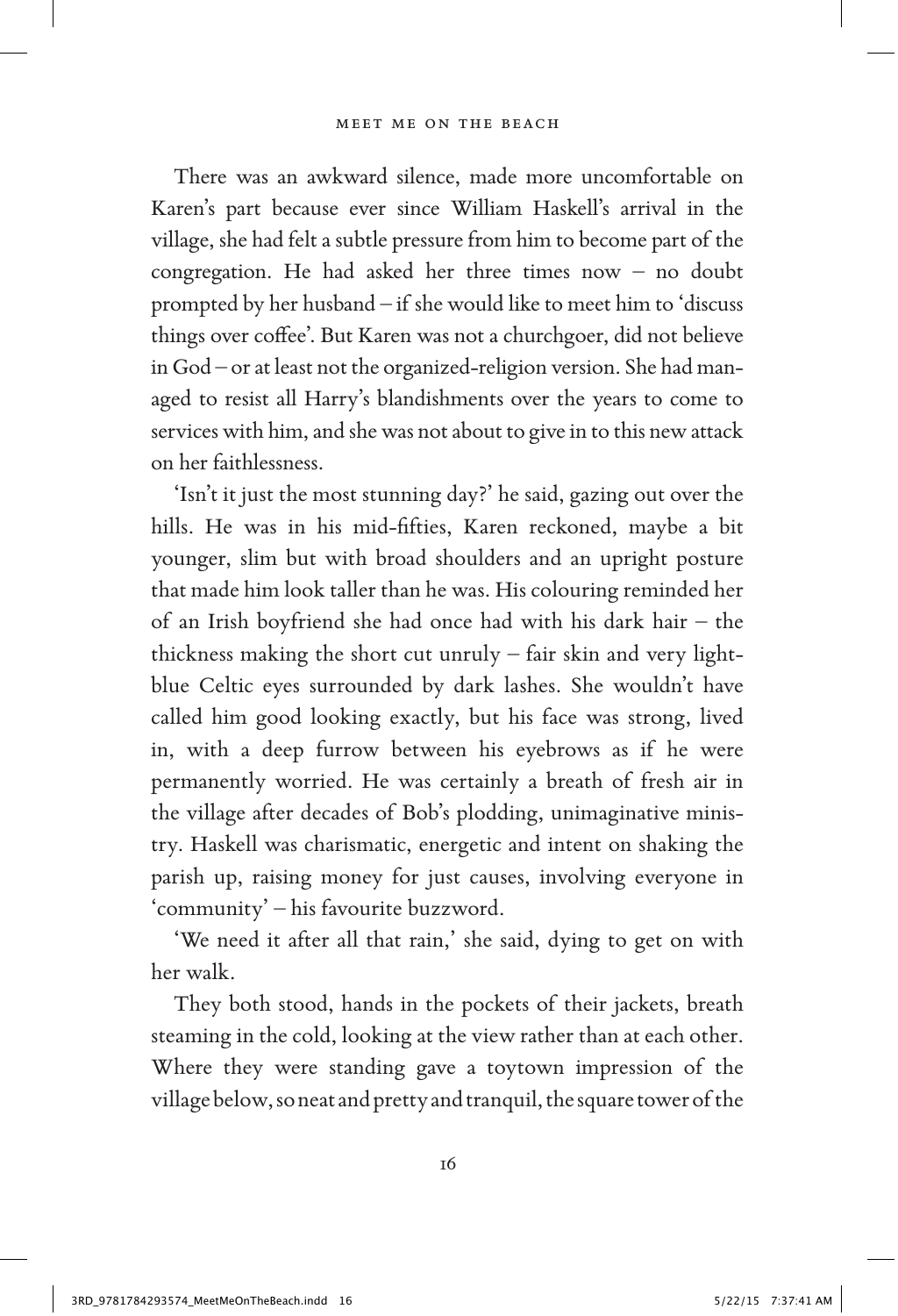There was an awkward silence, made more uncomfortable on Karen's part because ever since William Haskell's arrival in the village, she had felt a subtle pressure from him to become part of the congregation. He had asked her three times now  $-$  no doubt prompted by her husband – if she would like to meet him to 'discuss things over coffee'. But Karen was not a churchgoer, did not believe in God – or at least not the organized-religion version. She had managed to resist all Harry's blandishments over the years to come to services with him, and she was not about to give in to this new attack on her faithlessness.

'Isn't it just the most stunning day?' he said, gazing out over the hills. He was in his mid-fifties, Karen reckoned, maybe a bit younger, slim but with broad shoulders and an upright posture that made him look taller than he was. His colouring reminded her of an Irish boyfriend she had once had with his dark hair – the thickness making the short cut unruly – fair skin and very lightblue Celtic eyes surrounded by dark lashes. She wouldn't have called him good looking exactly, but his face was strong, lived in, with a deep furrow between his eyebrows as if he were permanently worried. He was certainly a breath of fresh air in the village after decades of Bob's plodding, unimaginative ministry. Haskell was charismatic, energetic and intent on shaking the parish up, raising money for just causes, involving everyone in 'community' – his favourite buzzword.

'We need it after all that rain,' she said, dying to get on with her walk.

They both stood, hands in the pockets of their jackets, breath steaming in the cold, looking at the view rather than at each other. Where they were standing gave a toytown impression of the village below, so neat and pretty and tranquil, the square tower of the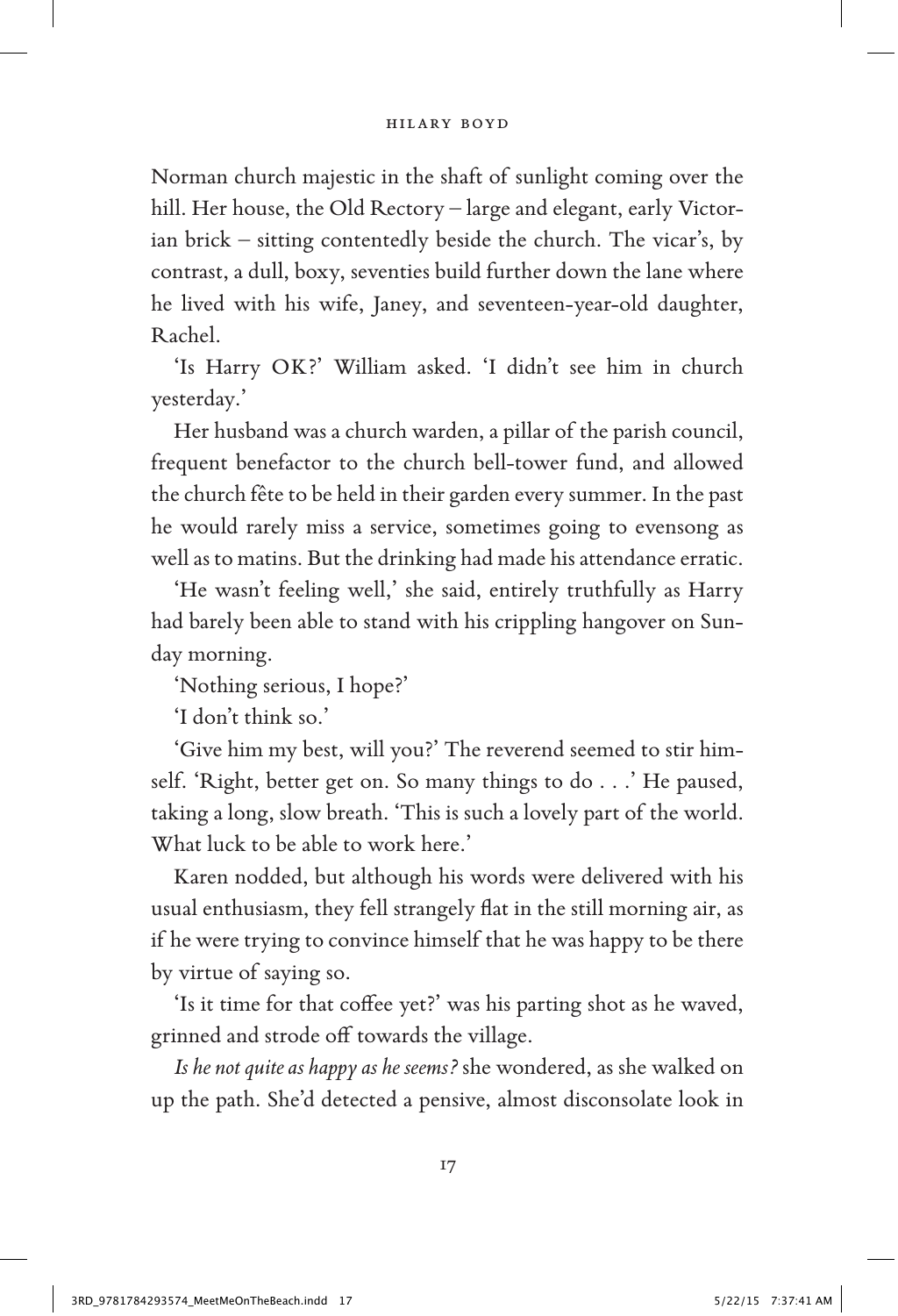Norman church majestic in the shaft of sunlight coming over the hill. Her house, the Old Rectory – large and elegant, early Victorian brick – sitting contentedly beside the church. The vicar's, by contrast, a dull, boxy, seventies build further down the lane where he lived with his wife, Janey, and seventeen-year-old daughter, Rachel.

'Is Harry OK?' William asked. 'I didn't see him in church yesterday.'

Her husband was a church warden, a pillar of the parish council, frequent benefactor to the church bell-tower fund, and allowed the church fête to be held in their garden every summer. In the past he would rarely miss a service, sometimes going to evensong as well as to matins. But the drinking had made his attendance erratic.

'He wasn't feeling well,' she said, entirely truthfully as Harry had barely been able to stand with his crippling hangover on Sunday morning.

'Nothing serious, I hope?'

'I don't think so.'

'Give him my best, will you?' The reverend seemed to stir himself. 'Right, better get on. So many things to do . . .' He paused, taking a long, slow breath. 'This is such a lovely part of the world. What luck to be able to work here.'

Karen nodded, but although his words were delivered with his usual enthusiasm, they fell strangely flat in the still morning air, as if he were trying to convince himself that he was happy to be there by virtue of saying so.

'Is it time for that coffee yet?' was his parting shot as he waved, grinned and strode off towards the village.

*Is he not quite as happy as he seems?* she wondered, as she walked on up the path. She'd detected a pensive, almost disconsolate look in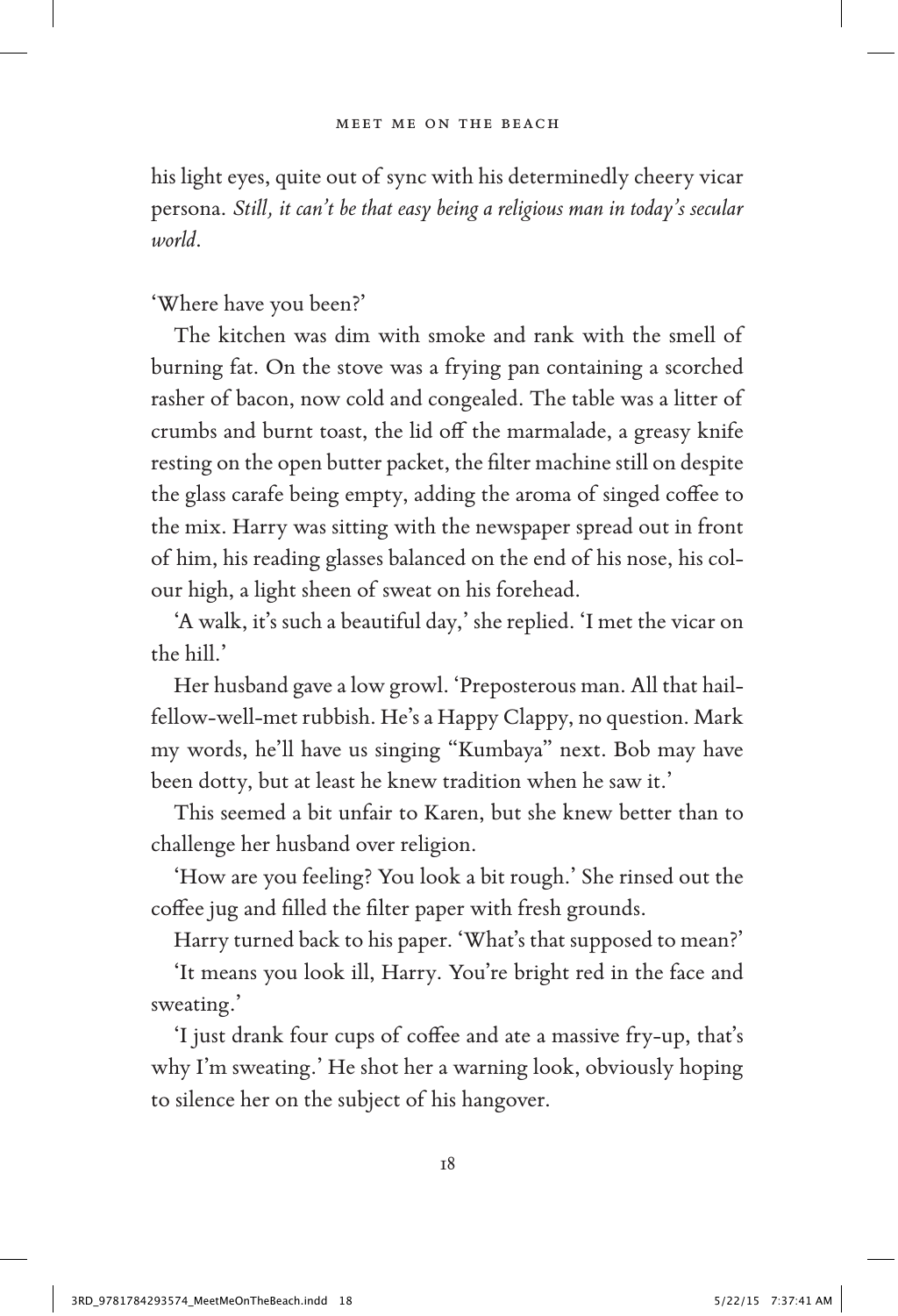his light eyes, quite out of sync with his determinedly cheery vicar persona. *Still, it can't be that easy being a religious man in today's secular world*.

# 'Where have you been?'

The kitchen was dim with smoke and rank with the smell of burning fat. On the stove was a frying pan containing a scorched rasher of bacon, now cold and congealed. The table was a litter of crumbs and burnt toast, the lid off the marmalade, a greasy knife resting on the open butter packet, the filter machine still on despite the glass carafe being empty, adding the aroma of singed coffee to the mix. Harry was sitting with the newspaper spread out in front of him, his reading glasses balanced on the end of his nose, his colour high, a light sheen of sweat on his forehead.

'A walk, it's such a beautiful day,' she replied. 'I met the vicar on the hill.'

Her husband gave a low growl. 'Preposterous man. All that hailfellow-well-met rubbish. He's a Happy Clappy, no question. Mark my words, he'll have us singing "Kumbaya" next. Bob may have been dotty, but at least he knew tradition when he saw it.'

This seemed a bit unfair to Karen, but she knew better than to challenge her husband over religion.

'How are you feeling? You look a bit rough.' She rinsed out the coffee jug and filled the filter paper with fresh grounds.

Harry turned back to his paper. 'What's that supposed to mean?'

'It means you look ill, Harry. You're bright red in the face and sweating.'

'I just drank four cups of coffee and ate a massive fry-up, that's why I'm sweating.' He shot her a warning look, obviously hoping to silence her on the subject of his hangover.